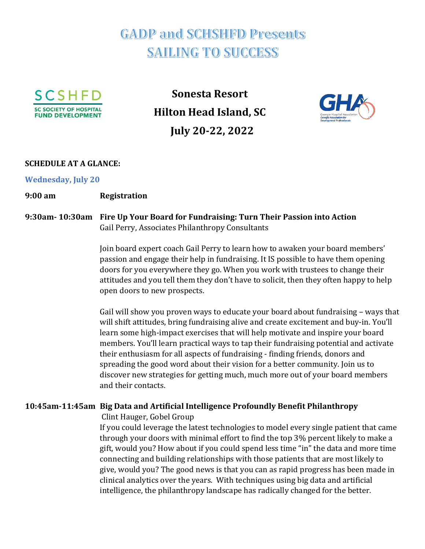# **GADP and SCHSHFD Presents SAILING TO SUCCESS**



**Sonesta Resort Hilton Head Island, SC July 20-22, 2022**



#### **SCHEDULE AT A GLANCE:**

**Wednesday, July 20**

#### **9:00 am Registration**

#### **9:30am- 10:30am Fire Up Your Board for Fundraising: Turn Their Passion into Action** Gail Perry, Associates Philanthropy Consultants

Join board expert coach Gail Perry to learn how to awaken your board members' passion and engage their help in fundraising. It IS possible to have them opening doors for you everywhere they go. When you work with trustees to change their attitudes and you tell them they don't have to solicit, then they often happy to help open doors to new prospects.

Gail will show you proven ways to educate your board about fundraising – ways that will shift attitudes, bring fundraising alive and create excitement and buy-in. You'll learn some high-impact exercises that will help motivate and inspire your board members. You'll learn practical ways to tap their fundraising potential and activate their enthusiasm for all aspects of fundraising - finding friends, donors and spreading the good word about their vision for a better community. Join us to discover new strategies for getting much, much more out of your board members and their contacts.

#### **10:45am-11:45am Big Data and Artificial Intelligence Profoundly Benefit Philanthropy**

Clint Hauger, Gobel Group

If you could leverage the latest technologies to model every single patient that came through your doors with minimal effort to find the top 3% percent likely to make a gift, would you? How about if you could spend less time "in" the data and more time connecting and building relationships with those patients that are most likely to give, would you? The good news is that you can as rapid progress has been made in clinical analytics over the years. With techniques using big data and artificial intelligence, the philanthropy landscape has radically changed for the better.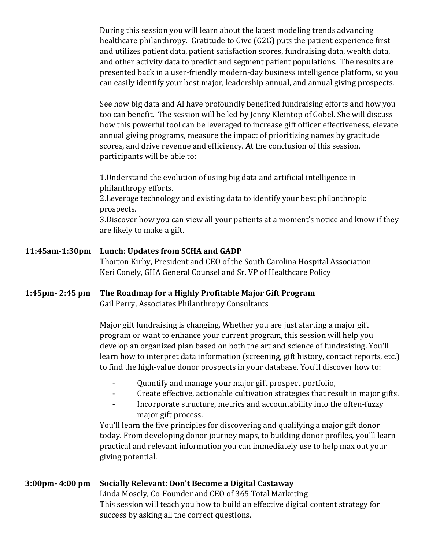During this session you will learn about the latest modeling trends advancing healthcare philanthropy. Gratitude to Give (G2G) puts the patient experience first and utilizes patient data, patient satisfaction scores, fundraising data, wealth data, and other activity data to predict and segment patient populations. The results are presented back in a user-friendly modern-day business intelligence platform, so you can easily identify your best major, leadership annual, and annual giving prospects.

See how big data and AI have profoundly benefited fundraising efforts and how you too can benefit. The session will be led by Jenny Kleintop of Gobel. She will discuss how this powerful tool can be leveraged to increase gift officer effectiveness, elevate annual giving programs, measure the impact of prioritizing names by gratitude scores, and drive revenue and efficiency. At the conclusion of this session, participants will be able to:

1.Understand the evolution of using big data and artificial intelligence in philanthropy efforts. 2.Leverage technology and existing data to identify your best philanthropic prospects. 3.Discover how you can view all your patients at a moment's notice and know if they are likely to make a gift.

### **11:45am-1:30pm Lunch: Updates from SCHA and GADP** Thorton Kirby, President and CEO of the South Carolina Hospital Association Keri Conely, GHA General Counsel and Sr. VP of Healthcare Policy

#### **1:45pm- 2:45 pm The Roadmap for a Highly Profitable Major Gift Program** Gail Perry, Associates Philanthropy Consultants

Major gift fundraising is changing. Whether you are just starting a major gift program or want to enhance your current program, this session will help you develop an organized plan based on both the art and science of fundraising. You'll learn how to interpret data information (screening, gift history, contact reports, etc.) to find the high-value donor prospects in your database. You'll discover how to:

- Quantify and manage your major gift prospect portfolio,
- Create effective, actionable cultivation strategies that result in major gifts.
- Incorporate structure, metrics and accountability into the often-fuzzy major gift process.

You'll learn the five principles for discovering and qualifying a major gift donor today. From developing donor journey maps, to building donor profiles, you'll learn practical and relevant information you can immediately use to help max out your giving potential.

#### **3:00pm- 4:00 pm Socially Relevant: Don't Become a Digital Castaway** Linda Mosely, Co-Founder and CEO of 365 Total Marketing This session will teach you how to build an effective digital content strategy for success by asking all the correct questions.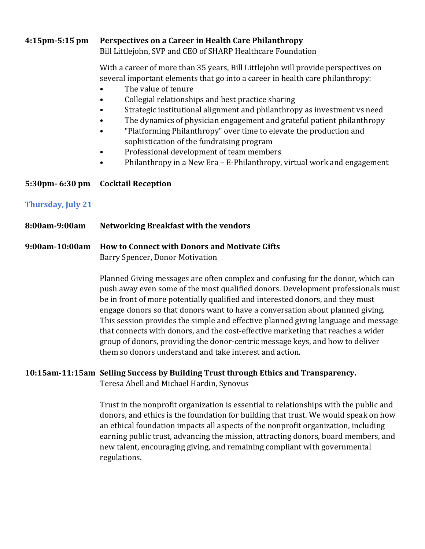#### **4:15pm-5:15 pm Perspectives on a Career in Health Care Philanthropy**

Bill Littlejohn, SVP and CEO of SHARP Healthcare Foundation

With a career of more than 35 years, Bill Littlejohn will provide perspectives on several important elements that go into a career in health care philanthropy:

- The value of tenure
- Collegial relationships and best practice sharing
- Strategic institutional alignment and philanthropy as investment vs need
- The dynamics of physician engagement and grateful patient philanthropy
- "Platforming Philanthropy" over time to elevate the production and sophistication of the fundraising program
- Professional development of team members
- Philanthropy in a New Era E-Philanthropy, virtual work and engagement

#### **5:30pm- 6:30 pm Cocktail Reception**

#### **Thursday, July 21**

**8:00am-9:00am Networking Breakfast with the vendors**

#### **9:00am-10:00am How to Connect with Donors and Motivate Gifts** Barry Spencer, Donor Motivation

Planned Giving messages are often complex and confusing for the donor, which can push away even some of the most qualified donors. Development professionals must be in front of more potentially qualified and interested donors, and they must engage donors so that donors want to have a conversation about planned giving. This session provides the simple and effective planned giving language and message that connects with donors, and the cost-effective marketing that reaches a wider group of donors, providing the donor-centric message keys, and how to deliver them so donors understand and take interest and action.

#### **10:15am-11:15am Selling Success by Building Trust through Ethics and Transparency.**

Teresa Abell and Michael Hardin, Synovus

Trust in the nonprofit organization is essential to relationships with the public and donors, and ethics is the foundation for building that trust. We would speak on how an ethical foundation impacts all aspects of the nonprofit organization, including earning public trust, advancing the mission, attracting donors, board members, and new talent, encouraging giving, and remaining compliant with governmental regulations.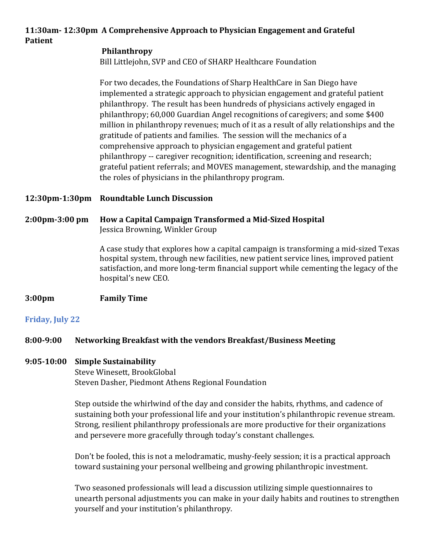#### **11:30am- 12:30pm A Comprehensive Approach to Physician Engagement and Grateful Patient**

#### **Philanthropy**

Bill Littlejohn, SVP and CEO of SHARP Healthcare Foundation

For two decades, the Foundations of Sharp HealthCare in San Diego have implemented a strategic approach to physician engagement and grateful patient philanthropy. The result has been hundreds of physicians actively engaged in philanthropy; 60,000 Guardian Angel recognitions of caregivers; and some \$400 million in philanthropy revenues; much of it as a result of ally relationships and the gratitude of patients and families. The session will the mechanics of a comprehensive approach to physician engagement and grateful patient philanthropy -- caregiver recognition; identification, screening and research; grateful patient referrals; and MOVES management, stewardship, and the managing the roles of physicians in the philanthropy program.

**12:30pm-1:30pm Roundtable Lunch Discussion**

#### **2:00pm-3:00 pm How a Capital Campaign Transformed a Mid-Sized Hospital**  Jessica Browning, Winkler Group

A case study that explores how a capital campaign is transforming a mid-sized Texas hospital system, through new facilities, new patient service lines, improved patient satisfaction, and more long-term financial support while cementing the legacy of the hospital's new CEO.

#### **3:00pm Family Time**

#### **Friday, July 22**

#### **8:00-9:00 Networking Breakfast with the vendors Breakfast/Business Meeting**

#### **9:05-10:00 Simple Sustainability**

Steve Winesett, BrookGlobal Steven Dasher, Piedmont Athens Regional Foundation

Step outside the whirlwind of the day and consider the habits, rhythms, and cadence of sustaining both your professional life and your institution's philanthropic revenue stream. Strong, resilient philanthropy professionals are more productive for their organizations and persevere more gracefully through today's constant challenges.

Don't be fooled, this is not a melodramatic, mushy-feely session; it is a practical approach toward sustaining your personal wellbeing and growing philanthropic investment.

Two seasoned professionals will lead a discussion utilizing simple questionnaires to unearth personal adjustments you can make in your daily habits and routines to strengthen yourself and your institution's philanthropy.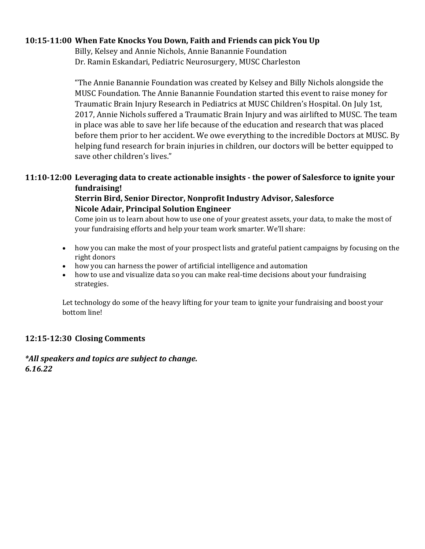#### **10:15-11:00 When Fate Knocks You Down, Faith and Friends can pick You Up**

Billy, Kelsey and Annie Nichols, Annie Banannie Foundation Dr. Ramin Eskandari, Pediatric Neurosurgery, MUSC Charleston

"The Annie Banannie Foundation was created by Kelsey and Billy Nichols alongside the MUSC Foundation. The Annie Banannie Foundation started this event to raise money for Traumatic Brain Injury Research in Pediatrics at MUSC Children's Hospital. On July 1st, 2017, Annie Nichols suffered a Traumatic Brain Injury and was airlifted to MUSC. The team in place was able to save her life because of the education and research that was placed before them prior to her accident. We owe everything to the incredible Doctors at MUSC. By helping fund research for brain injuries in children, our doctors will be better equipped to save other children's lives."

#### **11:10-12:00 Leveraging data to create actionable insights - the power of Salesforce to ignite your fundraising!**

#### **Sterrin Bird, Senior Director, Nonprofit Industry Advisor, Salesforce Nicole Adair, Principal Solution Engineer**

Come join us to learn about how to use one of your greatest assets, your data, to make the most of your fundraising efforts and help your team work smarter. We'll share:

- how you can make the most of your prospect lists and grateful patient campaigns by focusing on the right donors
- how you can harness the power of artificial intelligence and automation
- how to use and visualize data so you can make real-time decisions about your fundraising strategies.

Let technology do some of the heavy lifting for your team to ignite your fundraising and boost your bottom line!

#### **12:15-12:30 Closing Comments**

*\*All speakers and topics are subject to change. 6.16.22*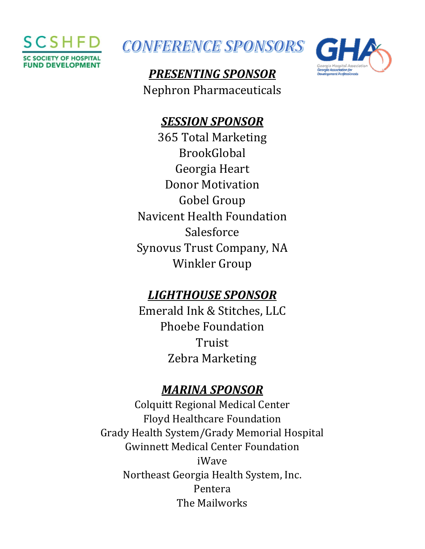



## *PRESENTING SPONSOR* Nephron Pharmaceuticals



### *SESSION SPONSOR*

365 Total Marketing BrookGlobal Georgia Heart Donor Motivation Gobel Group Navicent Health Foundation Salesforce Synovus Trust Company, NA Winkler Group

### *LIGHTHOUSE SPONSOR*

Emerald Ink & Stitches, LLC Phoebe Foundation Truist Zebra Marketing

### *MARINA SPONSOR*

Colquitt Regional Medical Center Floyd Healthcare Foundation Grady Health System/Grady Memorial Hospital Gwinnett Medical Center Foundation iWave Northeast Georgia Health System, Inc. Pentera The Mailworks